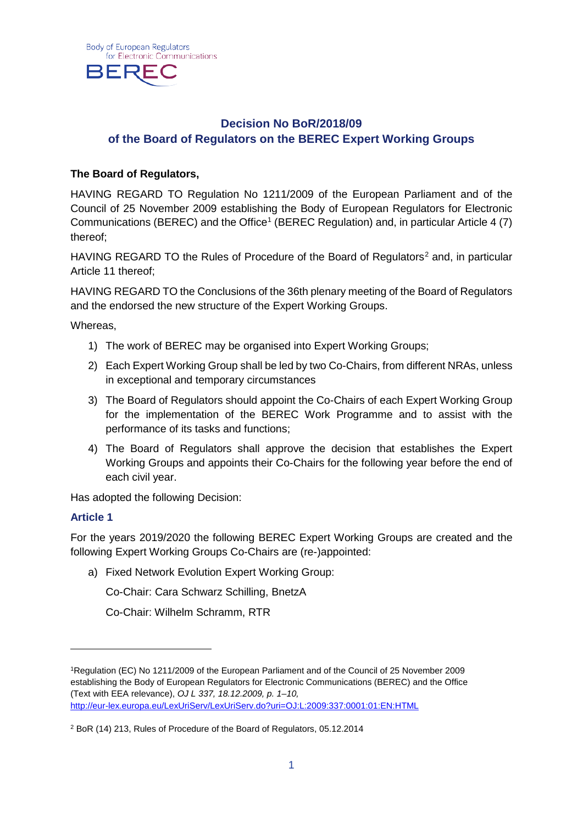

## **Decision No BoR/2018/09 of the Board of Regulators on the BEREC Expert Working Groups**

### **The Board of Regulators,**

HAVING REGARD TO Regulation No 1211/2009 of the European Parliament and of the Council of 25 November 2009 establishing the Body of European Regulators for Electronic Communications (BEREC) and the Office<sup>1</sup> (BEREC Regulation) and, in particular Article 4 (7) thereof;

HAVING REGARD TO the Rules of Procedure of the Board of Regulators<sup>[2](#page-0-1)</sup> and, in particular Article 11 thereof;

HAVING REGARD TO the Conclusions of the 36th plenary meeting of the Board of Regulators and the endorsed the new structure of the Expert Working Groups.

Whereas,

- 1) The work of BEREC may be organised into Expert Working Groups;
- 2) Each Expert Working Group shall be led by two Co-Chairs, from different NRAs, unless in exceptional and temporary circumstances
- 3) The Board of Regulators should appoint the Co-Chairs of each Expert Working Group for the implementation of the BEREC Work Programme and to assist with the performance of its tasks and functions;
- 4) The Board of Regulators shall approve the decision that establishes the Expert Working Groups and appoints their Co-Chairs for the following year before the end of each civil year.

Has adopted the following Decision:

#### **Article 1**

-

For the years 2019/2020 the following BEREC Expert Working Groups are created and the following Expert Working Groups Co-Chairs are (re-)appointed:

a) Fixed Network Evolution Expert Working Group:

Co-Chair: Cara Schwarz Schilling, BnetzA

Co-Chair: Wilhelm Schramm, RTR

<span id="page-0-0"></span><sup>1</sup>Regulation (EC) No 1211/2009 of the European Parliament and of the Council of 25 November 2009 establishing the Body of European Regulators for Electronic Communications (BEREC) and the Office (Text with EEA relevance), *OJ L 337, 18.12.2009, p. 1–10,*  <http://eur-lex.europa.eu/LexUriServ/LexUriServ.do?uri=OJ:L:2009:337:0001:01:EN:HTML>

<span id="page-0-1"></span><sup>2</sup> BoR (14) 213, Rules of Procedure of the Board of Regulators, 05.12.2014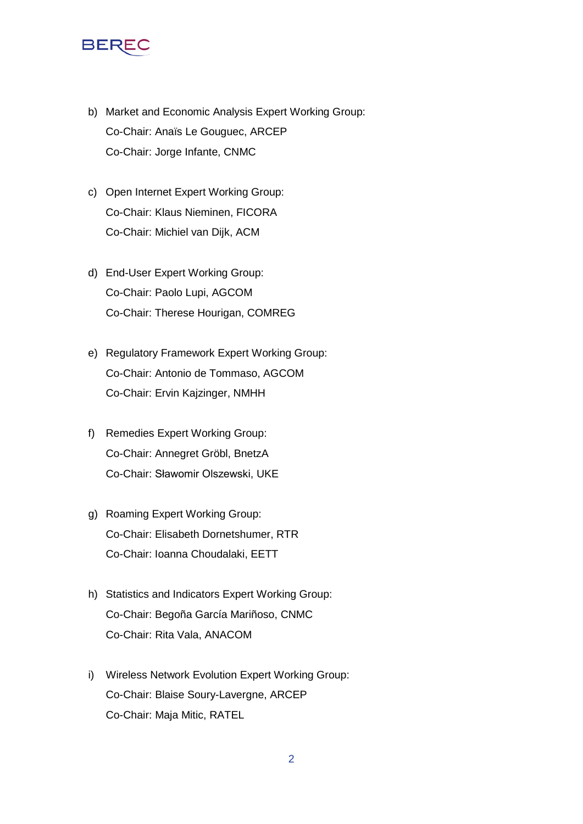# BEF

- b) Market and Economic Analysis Expert Working Group: Co-Chair: Anaïs Le Gouguec, ARCEP Co-Chair: Jorge Infante, CNMC
- c) Open Internet Expert Working Group: Co-Chair: Klaus Nieminen, FICORA Co-Chair: Michiel van Dijk, ACM
- d) End-User Expert Working Group: Co-Chair: Paolo Lupi, AGCOM Co-Chair: Therese Hourigan, COMREG
- e) Regulatory Framework Expert Working Group: Co-Chair: Antonio de Tommaso, AGCOM Co-Chair: Ervin Kajzinger, NMHH
- f) Remedies Expert Working Group: Co-Chair: Annegret Gröbl, BnetzA Co-Chair: Sławomir Olszewski, UKE
- g) Roaming Expert Working Group: Co-Chair: Elisabeth Dornetshumer, RTR Co-Chair: Ioanna Choudalaki, EETT
- h) Statistics and Indicators Expert Working Group: Co-Chair: Begoña García Mariñoso, CNMC Co-Chair: Rita Vala, ANACOM
- i) Wireless Network Evolution Expert Working Group: Co-Chair: Blaise Soury-Lavergne, ARCEP Co-Chair: Maja Mitic, RATEL